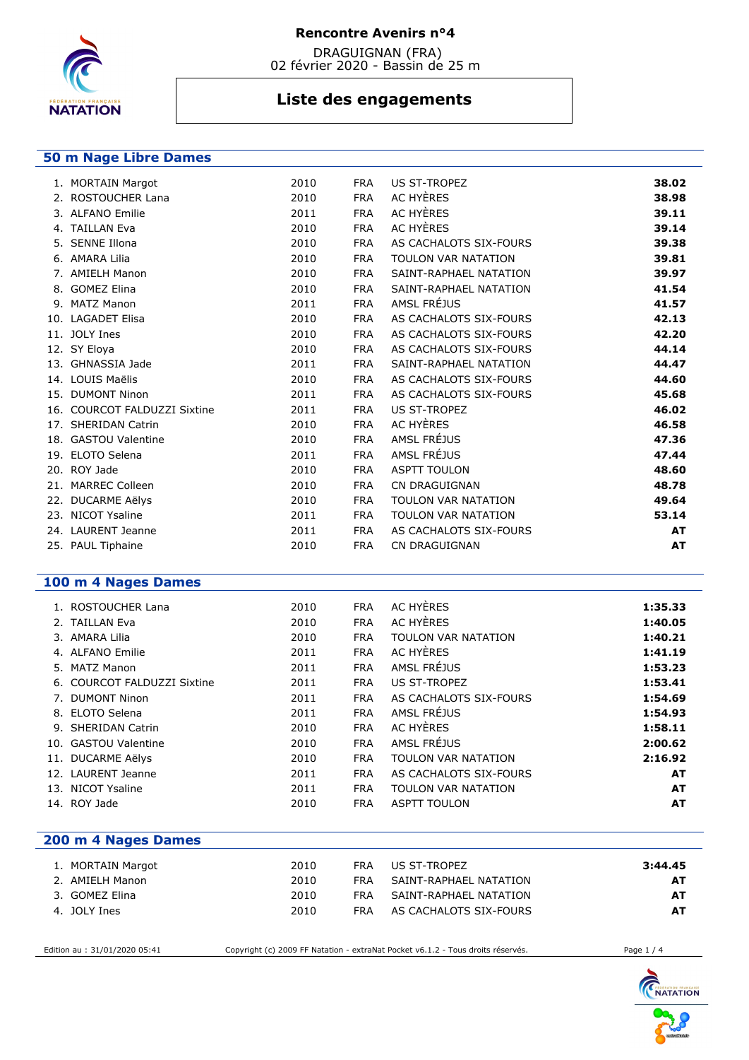

 DRAGUIGNAN (FRA) 02 février 2020 - Bassin de 25 m

# **Liste des engagements**

## **50 m Nage Libre Dames**

| 2010                                                                                                                                                                                                                                                                                                                                                                                                                                                                                                                      | <b>FRA</b> | US ST-TROPEZ           | 38.02     |
|---------------------------------------------------------------------------------------------------------------------------------------------------------------------------------------------------------------------------------------------------------------------------------------------------------------------------------------------------------------------------------------------------------------------------------------------------------------------------------------------------------------------------|------------|------------------------|-----------|
| 2010                                                                                                                                                                                                                                                                                                                                                                                                                                                                                                                      | <b>FRA</b> | AC HYÈRES              | 38.98     |
| 2011                                                                                                                                                                                                                                                                                                                                                                                                                                                                                                                      | <b>FRA</b> | AC HYÈRES              | 39.11     |
| 2010                                                                                                                                                                                                                                                                                                                                                                                                                                                                                                                      | <b>FRA</b> | AC HYÈRES              | 39.14     |
| 2010                                                                                                                                                                                                                                                                                                                                                                                                                                                                                                                      | <b>FRA</b> | AS CACHALOTS SIX-FOURS | 39.38     |
| 2010                                                                                                                                                                                                                                                                                                                                                                                                                                                                                                                      | <b>FRA</b> | TOULON VAR NATATION    | 39.81     |
| 2010                                                                                                                                                                                                                                                                                                                                                                                                                                                                                                                      | <b>FRA</b> | SAINT-RAPHAEL NATATION | 39.97     |
| 2010                                                                                                                                                                                                                                                                                                                                                                                                                                                                                                                      | <b>FRA</b> | SAINT-RAPHAEL NATATION | 41.54     |
| 2011                                                                                                                                                                                                                                                                                                                                                                                                                                                                                                                      | <b>FRA</b> | AMSL FRÉJUS            | 41.57     |
| 2010                                                                                                                                                                                                                                                                                                                                                                                                                                                                                                                      | <b>FRA</b> | AS CACHALOTS SIX-FOURS | 42.13     |
| 2010                                                                                                                                                                                                                                                                                                                                                                                                                                                                                                                      | <b>FRA</b> | AS CACHALOTS SIX-FOURS | 42.20     |
| 2010                                                                                                                                                                                                                                                                                                                                                                                                                                                                                                                      | <b>FRA</b> | AS CACHALOTS SIX-FOURS | 44.14     |
| 2011                                                                                                                                                                                                                                                                                                                                                                                                                                                                                                                      | <b>FRA</b> | SAINT-RAPHAEL NATATION | 44.47     |
| 2010                                                                                                                                                                                                                                                                                                                                                                                                                                                                                                                      | <b>FRA</b> | AS CACHALOTS SIX-FOURS | 44.60     |
| 2011                                                                                                                                                                                                                                                                                                                                                                                                                                                                                                                      | <b>FRA</b> | AS CACHALOTS SIX-FOURS | 45.68     |
| 2011                                                                                                                                                                                                                                                                                                                                                                                                                                                                                                                      | <b>FRA</b> | <b>US ST-TROPEZ</b>    | 46.02     |
| 2010                                                                                                                                                                                                                                                                                                                                                                                                                                                                                                                      | <b>FRA</b> | AC HYÈRES              | 46.58     |
| 2010                                                                                                                                                                                                                                                                                                                                                                                                                                                                                                                      | <b>FRA</b> | AMSL FRÉJUS            | 47.36     |
| 2011                                                                                                                                                                                                                                                                                                                                                                                                                                                                                                                      | <b>FRA</b> | AMSL FRÉJUS            | 47.44     |
| 2010                                                                                                                                                                                                                                                                                                                                                                                                                                                                                                                      | <b>FRA</b> | <b>ASPTT TOULON</b>    | 48.60     |
| 2010                                                                                                                                                                                                                                                                                                                                                                                                                                                                                                                      | <b>FRA</b> | <b>CN DRAGUIGNAN</b>   | 48.78     |
| 2010                                                                                                                                                                                                                                                                                                                                                                                                                                                                                                                      | <b>FRA</b> | TOULON VAR NATATION    | 49.64     |
| 2011                                                                                                                                                                                                                                                                                                                                                                                                                                                                                                                      | <b>FRA</b> | TOULON VAR NATATION    | 53.14     |
| 2011                                                                                                                                                                                                                                                                                                                                                                                                                                                                                                                      | <b>FRA</b> | AS CACHALOTS SIX-FOURS | <b>AT</b> |
| 2010                                                                                                                                                                                                                                                                                                                                                                                                                                                                                                                      | <b>FRA</b> | <b>CN DRAGUIGNAN</b>   | <b>AT</b> |
| 1. MORTAIN Margot<br>2. ROSTOUCHER Lana<br>3. ALFANO Emilie<br>4. TAILLAN Eva<br>5. SENNE Illona<br>6. AMARA Lilia<br>7. AMIELH Manon<br>8. GOMEZ Elina<br>9. MATZ Manon<br>10. LAGADET Elisa<br>11. JOLY Ines<br>12. SY Eloya<br>13. GHNASSIA Jade<br>14. LOUIS Maëlis<br>15. DUMONT Ninon<br>16. COURCOT FALDUZZI Sixtine<br>17. SHERIDAN Catrin<br>18. GASTOU Valentine<br>19. ELOTO Selena<br>20. ROY Jade<br>21. MARREC Colleen<br>22. DUCARME Aëlys<br>23. NICOT Ysaline<br>24. LAURENT Jeanne<br>25. PAUL Tiphaine |            |                        |           |

# **100 m 4 Nages Dames**

| 1. ROSTOUCHER Lana          | 2010 | <b>FRA</b> | AC HYÈRES                  | 1:35.33   |
|-----------------------------|------|------------|----------------------------|-----------|
| 2. TAILLAN Eva              | 2010 | <b>FRA</b> | AC HYÈRES                  | 1:40.05   |
| 3. AMARA Lilia              | 2010 | <b>FRA</b> | TOULON VAR NATATION        | 1:40.21   |
| 4. ALFANO Emilie            | 2011 | <b>FRA</b> | AC HYÈRES                  | 1:41.19   |
| 5. MATZ Manon               | 2011 | <b>FRA</b> | AMSL FRÉJUS                | 1:53.23   |
| 6. COURCOT FALDUZZI Sixtine | 2011 | <b>FRA</b> | US ST-TROPEZ               | 1:53.41   |
| 7. DUMONT Ninon             | 2011 | <b>FRA</b> | AS CACHALOTS SIX-FOURS     | 1:54.69   |
| 8. ELOTO Selena             | 2011 | <b>FRA</b> | AMSL FRÉJUS                | 1:54.93   |
| 9. SHERIDAN Catrin          | 2010 | <b>FRA</b> | AC HYÈRES                  | 1:58.11   |
| 10. GASTOU Valentine        | 2010 | <b>FRA</b> | AMSL FRÉJUS                | 2:00.62   |
| 11. DUCARME Aëlys           | 2010 | <b>FRA</b> | TOULON VAR NATATION        | 2:16.92   |
| 12. LAURENT Jeanne          | 2011 | <b>FRA</b> | AS CACHALOTS SIX-FOURS     | <b>AT</b> |
| 13. NICOT Ysaline           | 2011 | <b>FRA</b> | <b>TOULON VAR NATATION</b> | AT        |
| 14. ROY Jade                | 2010 | <b>FRA</b> | <b>ASPTT TOULON</b>        | AT        |
|                             |      |            |                            |           |

| 1. MORTAIN Margot | 2010 | FRA. | US ST-TROPFZ           | 3:44.45   |
|-------------------|------|------|------------------------|-----------|
| 2. AMIELH Manon   | 2010 | FRA  | SAINT-RAPHAEL NATATION | <b>AT</b> |
| 3. GOMEZ Elina    | 2010 | FRA  | SAINT-RAPHAEL NATATION | <b>AT</b> |
| 4. JOLY Ines      | 2010 | FRA  | AS CACHALOTS SIX-FOURS | AT        |

 **200 m 4 Nages Dames** 

Edition au : 31/01/2020 05:41 Copyright (c) 2009 FF Natation - extraNat Pocket v6.1.2 - Tous droits réservés. Page 1 / 4

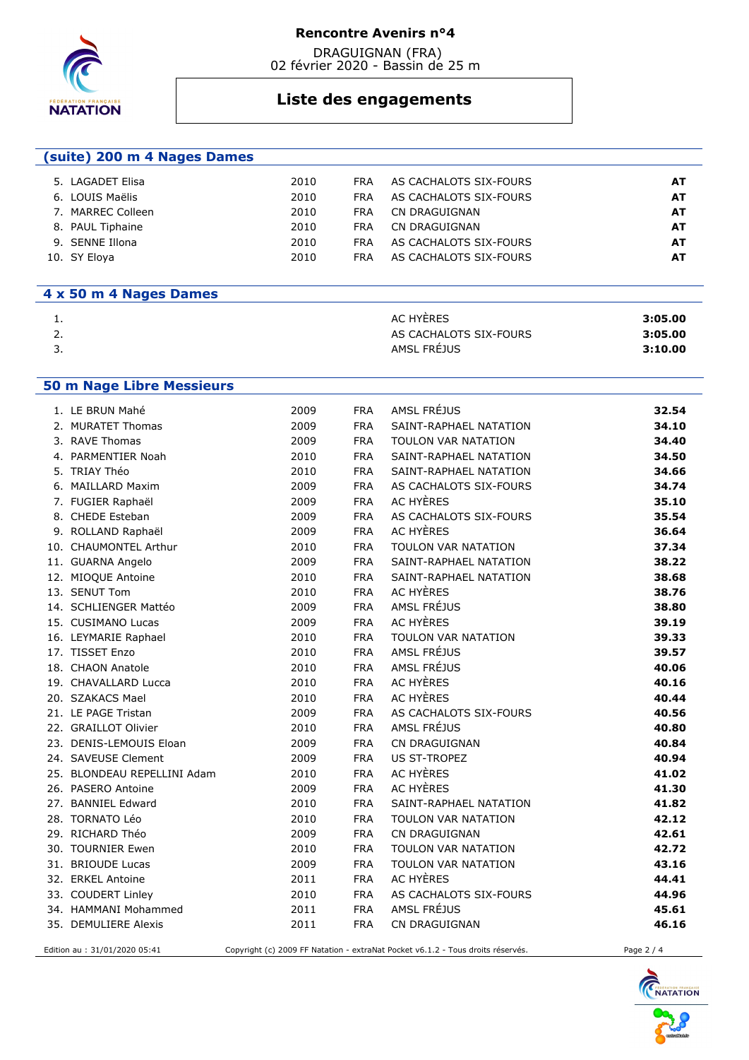

 DRAGUIGNAN (FRA) 02 février 2020 - Bassin de 25 m

# **Liste des engagements**

| (suite) 200 m 4 Nages Dames |      |            |                        |    |
|-----------------------------|------|------------|------------------------|----|
| 5. LAGADET Elisa            | 2010 | <b>FRA</b> | AS CACHALOTS SIX-FOURS | A1 |
| 6. LOUIS Maëlis             | 2010 | <b>FRA</b> | AS CACHALOTS SIX-FOURS | AT |
| MARREC Colleen              | 2010 | FRA        | CN DRAGUIGNAN          | AT |

| <b>FRA</b> | AS CACHALOTS SIX-FOURS | AT |
|------------|------------------------|----|
| FRA        | CN DRAGUIGNAN          | AT |
|            | FRA CN DRAGUIGNAN      | AТ |
| FRA        | AS CACHALOTS SIX-FOURS | AТ |
| <b>FRA</b> | AS CACHALOTS SIX-FOURS | AТ |

## **4 x 50 m 4 Nages Dames**

8. PAUL Tiphaine 2010 9. SENNE Illona **2010** 10. SY Eloya 2010

| . .      | AC HYÈRES              | 3:05.00 |
|----------|------------------------|---------|
| <u>.</u> | AS CACHALOTS SIX-FOURS | 3:05.00 |
| <u>.</u> | AMSL FRÉJUS            | 3:10.00 |

#### **50 m Nage Libre Messieurs**

| 1. LE BRUN Mahé               | 2009 | <b>FRA</b> | AMSL FRÉJUS                                                                     | 32.54      |
|-------------------------------|------|------------|---------------------------------------------------------------------------------|------------|
| 2. MURATET Thomas             | 2009 | <b>FRA</b> | SAINT-RAPHAEL NATATION                                                          | 34.10      |
| 3. RAVE Thomas                | 2009 | <b>FRA</b> | TOULON VAR NATATION                                                             | 34.40      |
| 4. PARMENTIER Noah            | 2010 | <b>FRA</b> | SAINT-RAPHAEL NATATION                                                          | 34.50      |
| 5. TRIAY Théo                 | 2010 | <b>FRA</b> | SAINT-RAPHAEL NATATION                                                          | 34.66      |
| 6. MAILLARD Maxim             | 2009 | <b>FRA</b> | AS CACHALOTS SIX-FOURS                                                          | 34.74      |
| 7. FUGIER Raphaël             | 2009 | <b>FRA</b> | AC HYÈRES                                                                       | 35.10      |
| 8. CHEDE Esteban              | 2009 | <b>FRA</b> | AS CACHALOTS SIX-FOURS                                                          | 35.54      |
| 9. ROLLAND Raphaël            | 2009 | <b>FRA</b> | AC HYÈRES                                                                       | 36.64      |
| 10. CHAUMONTEL Arthur         | 2010 | <b>FRA</b> | <b>TOULON VAR NATATION</b>                                                      | 37.34      |
| 11. GUARNA Angelo             | 2009 | <b>FRA</b> | SAINT-RAPHAEL NATATION                                                          | 38.22      |
| 12. MIOQUE Antoine            | 2010 | <b>FRA</b> | SAINT-RAPHAEL NATATION                                                          | 38.68      |
| 13. SENUT Tom                 | 2010 | <b>FRA</b> | AC HYÈRES                                                                       | 38.76      |
| 14. SCHLIENGER Mattéo         | 2009 | <b>FRA</b> | AMSL FRÉJUS                                                                     | 38.80      |
| 15. CUSIMANO Lucas            | 2009 | <b>FRA</b> | AC HYÈRES                                                                       | 39.19      |
| 16. LEYMARIE Raphael          | 2010 | <b>FRA</b> | TOULON VAR NATATION                                                             | 39.33      |
| 17. TISSET Enzo               | 2010 | <b>FRA</b> | AMSL FRÉJUS                                                                     | 39.57      |
| 18. CHAON Anatole             | 2010 | <b>FRA</b> | AMSL FRÉJUS                                                                     | 40.06      |
| 19. CHAVALLARD Lucca          | 2010 | <b>FRA</b> | AC HYÈRES                                                                       | 40.16      |
| 20. SZAKACS Mael              | 2010 | <b>FRA</b> | AC HYÈRES                                                                       | 40.44      |
| 21. LE PAGE Tristan           | 2009 | <b>FRA</b> | AS CACHALOTS SIX-FOURS                                                          | 40.56      |
| 22. GRAILLOT Olivier          | 2010 | <b>FRA</b> | AMSL FRÉJUS                                                                     | 40.80      |
| 23. DENIS-LEMOUIS Eloan       | 2009 | <b>FRA</b> | CN DRAGUIGNAN                                                                   | 40.84      |
| 24. SAVEUSE Clement           | 2009 | <b>FRA</b> | <b>US ST-TROPEZ</b>                                                             | 40.94      |
| 25. BLONDEAU REPELLINI Adam   | 2010 | <b>FRA</b> | AC HYÈRES                                                                       | 41.02      |
| 26. PASERO Antoine            | 2009 | <b>FRA</b> | AC HYÈRES                                                                       | 41.30      |
| 27. BANNIEL Edward            | 2010 | <b>FRA</b> | SAINT-RAPHAEL NATATION                                                          | 41.82      |
| 28. TORNATO Léo               | 2010 | <b>FRA</b> | TOULON VAR NATATION                                                             | 42.12      |
| 29. RICHARD Théo              | 2009 | <b>FRA</b> | <b>CN DRAGUIGNAN</b>                                                            | 42.61      |
| 30. TOURNIER Ewen             | 2010 | <b>FRA</b> | TOULON VAR NATATION                                                             | 42.72      |
| 31. BRIOUDE Lucas             | 2009 | <b>FRA</b> | TOULON VAR NATATION                                                             | 43.16      |
| 32. ERKEL Antoine             | 2011 | <b>FRA</b> | AC HYÈRES                                                                       | 44.41      |
| 33. COUDERT Linley            | 2010 | <b>FRA</b> | AS CACHALOTS SIX-FOURS                                                          | 44.96      |
| 34. HAMMANI Mohammed          | 2011 | <b>FRA</b> | AMSL FRÉJUS                                                                     | 45.61      |
| 35. DEMULIERE Alexis          | 2011 | <b>FRA</b> | CN DRAGUIGNAN                                                                   | 46.16      |
| Edition au : 31/01/2020 05:41 |      |            | Copyright (c) 2009 FF Natation - extraNat Pocket v6.1.2 - Tous droits réservés. | Page 2 / 4 |

NATATION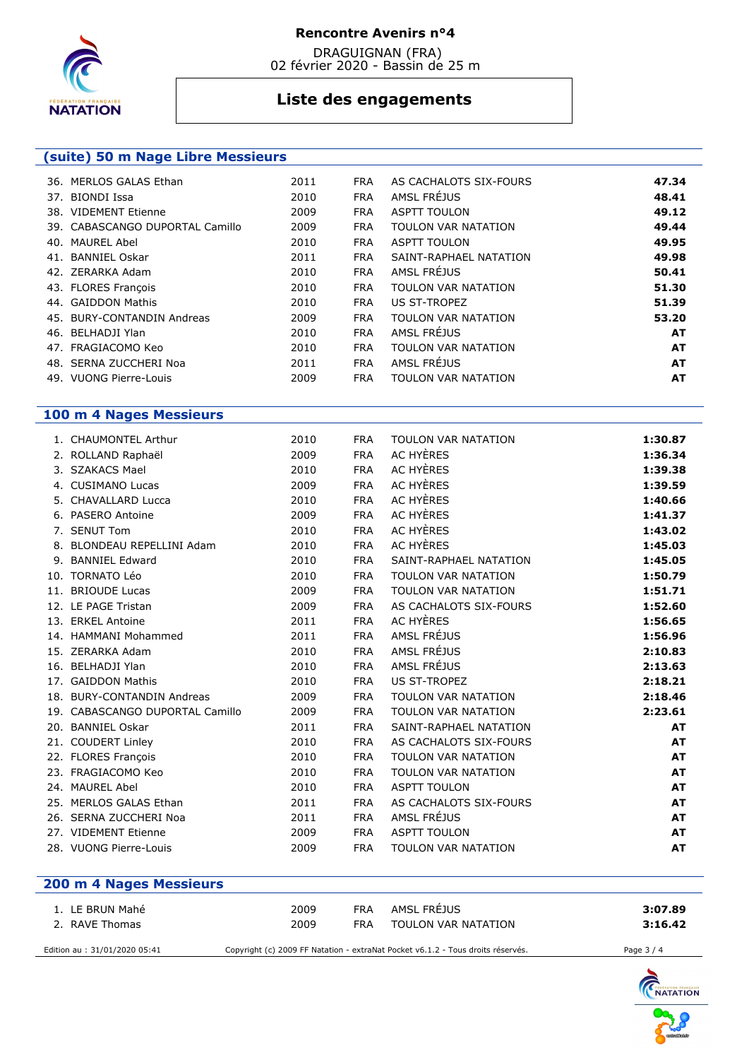

 DRAGUIGNAN (FRA) 02 février 2020 - Bassin de 25 m

# **Liste des engagements**

| (suite) 50 m Nage Libre Messieurs |                                 |      |            |                            |           |
|-----------------------------------|---------------------------------|------|------------|----------------------------|-----------|
| 36. MERLOS GALAS Ethan            |                                 | 2011 | <b>FRA</b> | AS CACHALOTS SIX-FOURS     | 47.34     |
| 37. BIONDI Issa                   |                                 | 2010 | <b>FRA</b> | AMSL FRÉJUS                | 48.41     |
| 38. VIDEMENT Etienne              |                                 | 2009 | <b>FRA</b> | <b>ASPTT TOULON</b>        | 49.12     |
|                                   | 39. CABASCANGO DUPORTAL Camillo | 2009 | <b>FRA</b> | <b>TOULON VAR NATATION</b> | 49.44     |
| 40. MAUREL Abel                   |                                 | 2010 | <b>FRA</b> | <b>ASPTT TOULON</b>        | 49.95     |
| 41. BANNIEL Oskar                 |                                 | 2011 | <b>FRA</b> | SAINT-RAPHAEL NATATION     | 49.98     |
| 42. ZERARKA Adam                  |                                 | 2010 | <b>FRA</b> | AMSL FRÉJUS                | 50.41     |
| 43. FLORES François               |                                 | 2010 | <b>FRA</b> | <b>TOULON VAR NATATION</b> | 51.30     |
| 44. GAIDDON Mathis                |                                 | 2010 | <b>FRA</b> | US ST-TROPEZ               | 51.39     |
| 45. BURY-CONTANDIN Andreas        |                                 | 2009 | <b>FRA</b> | TOULON VAR NATATION        | 53.20     |
| 46. BELHADJI Ylan                 |                                 | 2010 | <b>FRA</b> | AMSL FRÉJUS                | AT        |
| 47. FRAGIACOMO Keo                |                                 | 2010 | <b>FRA</b> | TOULON VAR NATATION        | AT        |
| 48. SERNA ZUCCHERI Noa            |                                 | 2011 | <b>FRA</b> | AMSL FRÉJUS                | <b>AT</b> |
| 49. VUONG Pierre-Louis            |                                 | 2009 | <b>FRA</b> | TOULON VAR NATATION        | <b>AT</b> |

## **100 m 4 Nages Messieurs**

| 1. CHAUMONTEL Arthur            | 2010 | <b>FRA</b> | <b>TOULON VAR NATATION</b> | 1:30.87   |
|---------------------------------|------|------------|----------------------------|-----------|
| 2. ROLLAND Raphaël              | 2009 | <b>FRA</b> | AC HYÈRES                  | 1:36.34   |
| 3. SZAKACS Mael                 | 2010 | <b>FRA</b> | AC HYÈRES                  | 1:39.38   |
| <b>CUSIMANO Lucas</b>           | 2009 | <b>FRA</b> | AC HYÈRES                  | 1:39.59   |
| 5. CHAVALLARD Lucca             | 2010 | <b>FRA</b> | AC HYÈRES                  | 1:40.66   |
| 6. PASERO Antoine               | 2009 | <b>FRA</b> | <b>AC HYÈRES</b>           | 1:41.37   |
| 7. SENUT Tom                    | 2010 | <b>FRA</b> | AC HYÈRES                  | 1:43.02   |
| 8. BLONDEAU REPELLINI Adam      | 2010 | <b>FRA</b> | AC HYÈRES                  | 1:45.03   |
| 9. BANNIEL Edward               | 2010 | <b>FRA</b> | SAINT-RAPHAEL NATATION     | 1:45.05   |
| 10. TORNATO Léo                 | 2010 | <b>FRA</b> | <b>TOULON VAR NATATION</b> | 1:50.79   |
| 11. BRIOUDE Lucas               | 2009 | <b>FRA</b> | <b>TOULON VAR NATATION</b> | 1:51.71   |
| 12. LE PAGE Tristan             | 2009 | <b>FRA</b> | AS CACHALOTS SIX-FOURS     | 1:52.60   |
| 13. ERKEL Antoine               | 2011 | <b>FRA</b> | AC HYÈRES                  | 1:56.65   |
| 14. HAMMANI Mohammed            | 2011 | <b>FRA</b> | AMSL FRÉJUS                | 1:56.96   |
| 15. ZERARKA Adam                | 2010 | <b>FRA</b> | AMSL FRÉJUS                | 2:10.83   |
| 16. BELHADJI Ylan               | 2010 | <b>FRA</b> | AMSL FRÉJUS                | 2:13.63   |
| 17. GAIDDON Mathis              | 2010 | <b>FRA</b> | <b>US ST-TROPEZ</b>        | 2:18.21   |
| 18. BURY-CONTANDIN Andreas      | 2009 | <b>FRA</b> | <b>TOULON VAR NATATION</b> | 2:18.46   |
| 19. CABASCANGO DUPORTAL Camillo | 2009 | <b>FRA</b> | <b>TOULON VAR NATATION</b> | 2:23.61   |
| 20. BANNIEL Oskar               | 2011 | <b>FRA</b> | SAINT-RAPHAEL NATATION     | <b>AT</b> |
| 21. COUDERT Linley              | 2010 | <b>FRA</b> | AS CACHALOTS SIX-FOURS     | <b>AT</b> |
| 22. FLORES François             | 2010 | <b>FRA</b> | <b>TOULON VAR NATATION</b> | <b>AT</b> |
| 23. FRAGIACOMO Keo              | 2010 | <b>FRA</b> | <b>TOULON VAR NATATION</b> | <b>AT</b> |
| 24. MAUREL Abel                 | 2010 | <b>FRA</b> | <b>ASPTT TOULON</b>        | <b>AT</b> |
| 25. MERLOS GALAS Ethan          | 2011 | <b>FRA</b> | AS CACHALOTS SIX-FOURS     | <b>AT</b> |
| 26. SERNA ZUCCHERI Noa          | 2011 | <b>FRA</b> | AMSL FRÉJUS                | <b>AT</b> |
| 27. VIDEMENT Etienne            | 2009 | <b>FRA</b> | <b>ASPTT TOULON</b>        | <b>AT</b> |
| 28. VUONG Pierre-Louis          | 2009 | <b>FRA</b> | <b>TOULON VAR NATATION</b> | <b>AT</b> |
|                                 |      |            |                            |           |

| 200 m 4 Nages Messieurs       |      |     |                                                                                 |            |
|-------------------------------|------|-----|---------------------------------------------------------------------------------|------------|
| 1. LE BRUN Mahé               | 2009 | FRA | AMSL FRÉJUS                                                                     | 3:07.89    |
| 2. RAVE Thomas                | 2009 | FRA | TOULON VAR NATATION                                                             | 3:16.42    |
| Edition au : 31/01/2020 05:41 |      |     | Copyright (c) 2009 FF Natation - extraNat Pocket v6.1.2 - Tous droits réservés. | Page 3 / 4 |